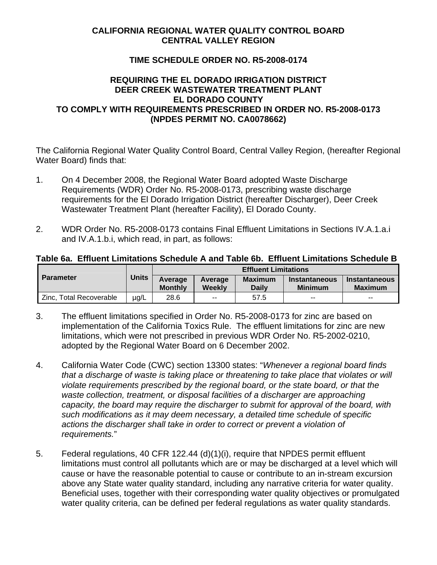## **CALIFORNIA REGIONAL WATER QUALITY CONTROL BOARD CENTRAL VALLEY REGION**

### **TIME SCHEDULE ORDER NO. R5-2008-0174**

### **REQUIRING THE EL DORADO IRRIGATION DISTRICT DEER CREEK WASTEWATER TREATMENT PLANT EL DORADO COUNTY TO COMPLY WITH REQUIREMENTS PRESCRIBED IN ORDER NO. R5-2008-0173 (NPDES PERMIT NO. CA0078662)**

The California Regional Water Quality Control Board, Central Valley Region, (hereafter Regional Water Board) finds that:

- 1. On 4 December 2008, the Regional Water Board adopted Waste Discharge Requirements (WDR) Order No. R5-2008-0173, prescribing waste discharge requirements for the El Dorado Irrigation District (hereafter Discharger), Deer Creek Wastewater Treatment Plant (hereafter Facility), El Dorado County.
- 2. WDR Order No. R5-2008-0173 contains Final Effluent Limitations in Sections IV.A.1.a.i and IV.A.1.b.i, which read, in part, as follows:

#### **Table 6a. Effluent Limitations Schedule A and Table 6b. Effluent Limitations Schedule B**

|                         |              | <b>Effluent Limitations</b> |                          |                                |                                 |                                        |
|-------------------------|--------------|-----------------------------|--------------------------|--------------------------------|---------------------------------|----------------------------------------|
| <b>Parameter</b>        | <b>Units</b> | Average<br><b>Monthly</b>   | Average<br>Weekly        | <b>Maximum</b><br><b>Daily</b> | Instantaneous<br><b>Minimum</b> | <b>Instantaneous</b><br><b>Maximum</b> |
| Zinc, Total Recoverable | ug/L         | 28.6                        | $\overline{\phantom{a}}$ | 57.5                           | $- -$                           | $- -$                                  |

- 3. The effluent limitations specified in Order No. R5-2008-0173 for zinc are based on implementation of the California Toxics Rule. The effluent limitations for zinc are new limitations, which were not prescribed in previous WDR Order No. R5-2002-0210, adopted by the Regional Water Board on 6 December 2002.
- 4. California Water Code (CWC) section 13300 states: "*Whenever a regional board finds that a discharge of waste is taking place or threatening to take place that violates or will violate requirements prescribed by the regional board, or the state board, or that the*  waste collection, treatment, or disposal facilities of a discharger are approaching *capacity, the board may require the discharger to submit for approval of the board, with such modifications as it may deem necessary, a detailed time schedule of specific actions the discharger shall take in order to correct or prevent a violation of requirements.*"
- 5. Federal regulations, 40 CFR 122.44 (d)(1)(i), require that NPDES permit effluent limitations must control all pollutants which are or may be discharged at a level which will cause or have the reasonable potential to cause or contribute to an in-stream excursion above any State water quality standard, including any narrative criteria for water quality. Beneficial uses, together with their corresponding water quality objectives or promulgated water quality criteria, can be defined per federal regulations as water quality standards.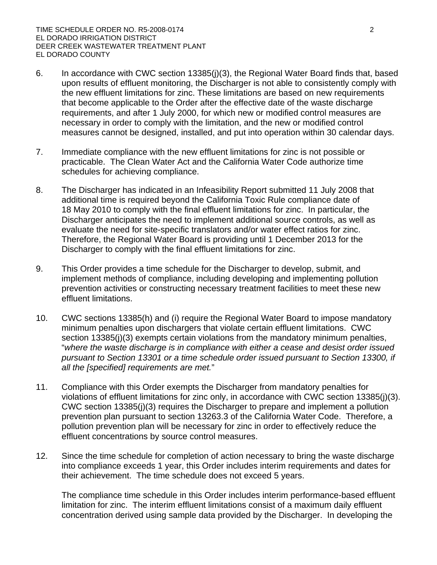- 6. In accordance with CWC section 13385(j)(3), the Regional Water Board finds that, based upon results of effluent monitoring, the Discharger is not able to consistently comply with the new effluent limitations for zinc. These limitations are based on new requirements that become applicable to the Order after the effective date of the waste discharge requirements, and after 1 July 2000, for which new or modified control measures are necessary in order to comply with the limitation, and the new or modified control measures cannot be designed, installed, and put into operation within 30 calendar days.
- 7. Immediate compliance with the new effluent limitations for zinc is not possible or practicable. The Clean Water Act and the California Water Code authorize time schedules for achieving compliance.
- 8. The Discharger has indicated in an Infeasibility Report submitted 11 July 2008 that additional time is required beyond the California Toxic Rule compliance date of 18 May 2010 to comply with the final effluent limitations for zinc. In particular, the Discharger anticipates the need to implement additional source controls, as well as evaluate the need for site-specific translators and/or water effect ratios for zinc. Therefore, the Regional Water Board is providing until 1 December 2013 for the Discharger to comply with the final effluent limitations for zinc.
- 9. This Order provides a time schedule for the Discharger to develop, submit, and implement methods of compliance, including developing and implementing pollution prevention activities or constructing necessary treatment facilities to meet these new effluent limitations.
- 10. CWC sections 13385(h) and (i) require the Regional Water Board to impose mandatory minimum penalties upon dischargers that violate certain effluent limitations. CWC section 13385(j)(3) exempts certain violations from the mandatory minimum penalties, "*where the waste discharge is in compliance with either a cease and desist order issued pursuant to Section 13301 or a time schedule order issued pursuant to Section 13300, if all the [specified] requirements are met.*"
- 11. Compliance with this Order exempts the Discharger from mandatory penalties for violations of effluent limitations for zinc only, in accordance with CWC section 13385(j)(3). CWC section 13385(j)(3) requires the Discharger to prepare and implement a pollution prevention plan pursuant to section 13263.3 of the California Water Code. Therefore, a pollution prevention plan will be necessary for zinc in order to effectively reduce the effluent concentrations by source control measures.
- 12. Since the time schedule for completion of action necessary to bring the waste discharge into compliance exceeds 1 year, this Order includes interim requirements and dates for their achievement. The time schedule does not exceed 5 years.

The compliance time schedule in this Order includes interim performance-based effluent limitation for zinc. The interim effluent limitations consist of a maximum daily effluent concentration derived using sample data provided by the Discharger. In developing the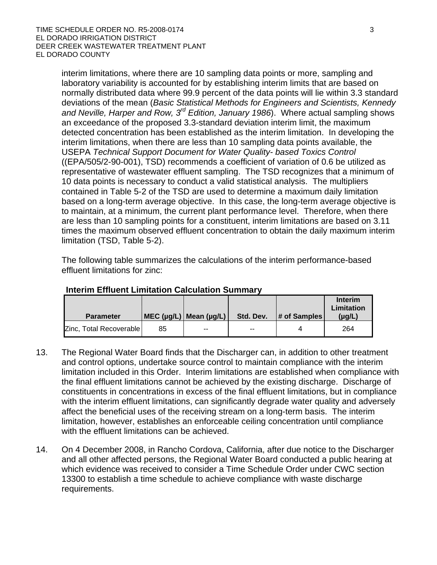interim limitations, where there are 10 sampling data points or more, sampling and laboratory variability is accounted for by establishing interim limits that are based on normally distributed data where 99.9 percent of the data points will lie within 3.3 standard deviations of the mean (*Basic Statistical Methods for Engineers and Scientists, Kennedy and Neville, Harper and Row, 3rd Edition, January 1986*). Where actual sampling shows an exceedance of the proposed 3.3-standard deviation interim limit, the maximum detected concentration has been established as the interim limitation. In developing the interim limitations, when there are less than 10 sampling data points available, the USEPA *Technical Support Document for Water Quality- based Toxics Control* ((EPA/505/2-90-001), TSD) recommends a coefficient of variation of 0.6 be utilized as representative of wastewater effluent sampling. The TSD recognizes that a minimum of 10 data points is necessary to conduct a valid statistical analysis. The multipliers contained in Table 5-2 of the TSD are used to determine a maximum daily limitation based on a long-term average objective. In this case, the long-term average objective is to maintain, at a minimum, the current plant performance level. Therefore, when there are less than 10 sampling points for a constituent, interim limitations are based on 3.11 times the maximum observed effluent concentration to obtain the daily maximum interim limitation (TSD, Table 5-2).

The following table summarizes the calculations of the interim performance-based effluent limitations for zinc:

| <b>Parameter</b>        |    | MEC ( $\mu$ g/L)   Mean ( $\mu$ g/L) | Std. Dev. | # of Samples | <b>Interim</b><br>Limitation<br>$(\mu g/L)$ |
|-------------------------|----|--------------------------------------|-----------|--------------|---------------------------------------------|
| Zinc, Total Recoverable | 85 | $\sim$ $\sim$                        | --        | 4            | 264                                         |

#### **Interim Effluent Limitation Calculation Summary**

- 13. The Regional Water Board finds that the Discharger can, in addition to other treatment and control options, undertake source control to maintain compliance with the interim limitation included in this Order. Interim limitations are established when compliance with the final effluent limitations cannot be achieved by the existing discharge. Discharge of constituents in concentrations in excess of the final effluent limitations, but in compliance with the interim effluent limitations, can significantly degrade water quality and adversely affect the beneficial uses of the receiving stream on a long-term basis. The interim limitation, however, establishes an enforceable ceiling concentration until compliance with the effluent limitations can be achieved.
- 14. On 4 December 2008, in Rancho Cordova, California, after due notice to the Discharger and all other affected persons, the Regional Water Board conducted a public hearing at which evidence was received to consider a Time Schedule Order under CWC section 13300 to establish a time schedule to achieve compliance with waste discharge requirements.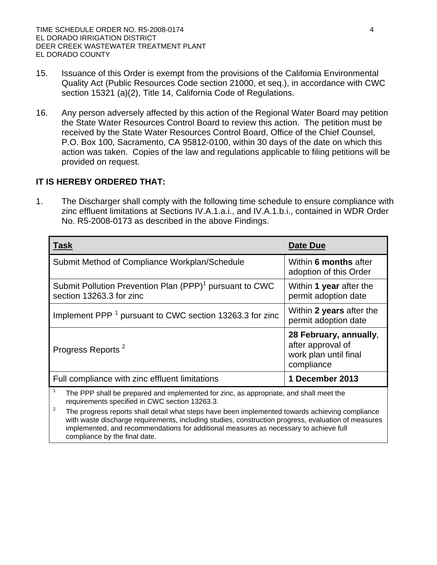- 15. Issuance of this Order is exempt from the provisions of the California Environmental Quality Act (Public Resources Code section 21000, et seq.), in accordance with CWC section 15321 (a)(2), Title 14, California Code of Regulations.
- 16. Any person adversely affected by this action of the Regional Water Board may petition the State Water Resources Control Board to review this action. The petition must be received by the State Water Resources Control Board, Office of the Chief Counsel, P.O. Box 100, Sacramento, CA 95812-0100, within 30 days of the date on which this action was taken. Copies of the law and regulations applicable to filing petitions will be provided on request.

# **IT IS HEREBY ORDERED THAT:**

1. The Discharger shall comply with the following time schedule to ensure compliance with zinc effluent limitations at Sections IV.A.1.a.i., and IV.A.1.b.i., contained in WDR Order No. R5-2008-0173 as described in the above Findings.

| <b>Task</b>                                                                                                                              | Date Due                                                                           |  |  |
|------------------------------------------------------------------------------------------------------------------------------------------|------------------------------------------------------------------------------------|--|--|
| Submit Method of Compliance Workplan/Schedule                                                                                            | Within 6 months after<br>adoption of this Order                                    |  |  |
| Submit Pollution Prevention Plan (PPP) <sup>1</sup> pursuant to CWC<br>section 13263.3 for zinc                                          | Within 1 year after the<br>permit adoption date                                    |  |  |
| Implement PPP <sup>1</sup> pursuant to CWC section 13263.3 for zinc                                                                      | Within 2 years after the<br>permit adoption date                                   |  |  |
| Progress Reports <sup>2</sup>                                                                                                            | 28 February, annually,<br>after approval of<br>work plan until final<br>compliance |  |  |
| Full compliance with zinc effluent limitations                                                                                           | 1 December 2013                                                                    |  |  |
| The PPP shall be prepared and implemented for zinc, as appropriate, and shall meet the<br>requirements specified in CWC section 13263.3. |                                                                                    |  |  |

2 The progress reports shall detail what steps have been implemented towards achieving compliance with waste discharge requirements, including studies, construction progress, evaluation of measures implemented, and recommendations for additional measures as necessary to achieve full compliance by the final date.